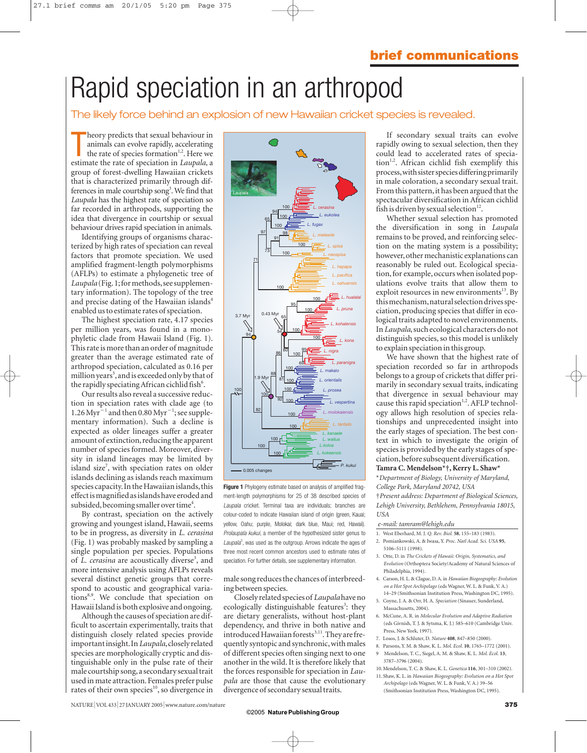# Rapid speciation in an arthropod

### The likely force behind an explosion of new Hawaiian cricket species is revealed.

heory predicts that sexual behaviour in animals can evolve rapidly, accelerating the rate of species formation<sup>1,2</sup>. Here we estimate the rate of speciation in *Laupala*, a heory predicts that sexual behaviour in animals can evolve rapidly, accelerating the rate of species formation<sup>1,2</sup>. Here we group of forest-dwelling Hawaiian crickets that is characterized primarily through differences in male courtship song<sup>3</sup>. We find that *Laupala* has the highest rate of speciation so far recorded in arthropods, supporting the idea that divergence in courtship or sexual behaviour drives rapid speciation in animals.

Identifying groups of organisms characterized by high rates of speciation can reveal factors that promote speciation. We used amplified fragment-length polymorphisms (AFLPs) to estimate a phylogenetic tree of *Laupala* (Fig. 1; for methods, see supplementary information). The topology of the tree and precise dating of the Hawaiian islands<sup>4</sup> enabled us to estimate rates of speciation.

The highest speciation rate, 4.17 species per million years, was found in a monophyletic clade from Hawaii Island (Fig. 1). This rate is more than an order of magnitude greater than the average estimated rate of arthropod speciation, calculated as 0.16 per million years<sup>5</sup>, and is exceeded only by that of the rapidly speciating African cichlid fish<sup>6</sup>.

Our results also reveal a successive reduction in speciation rates with clade age (to 1.26 Myr<sup>-1</sup> and then 0.80 Myr<sup>-1</sup>; see supplementary information). Such a decline is expected as older lineages suffer a greater amount of extinction, reducing the apparent number of species formed. Moreover, diversity in island lineages may be limited by island size<sup>7</sup>, with speciation rates on older islands declining as islands reach maximum species capacity. In the Hawaiian islands, this effect is magnified as islands have eroded and subsided, becoming smaller over time<sup>4</sup>.

By contrast, speciation on the actively growing and youngest island, Hawaii, seems to be in progress, as diversity in *L. cerasina* (Fig. 1) was probably masked by sampling a single population per species. Populations of *L. cerasina* are acoustically diverse<sup>3</sup>, and more intensive analysis using AFLPs reveals several distinct genetic groups that correspond to acoustic and geographical variations<sup>8,9</sup>. We conclude that speciation on Hawaii Island is both explosive and ongoing.

Although the causes of speciation are difficult to ascertain experimentally, traits that distinguish closely related species provide important insight.In *Laupala*,closely related species are morphologically cryptic and distinguishable only in the pulse rate of their male courtship song,a secondary sexual trait used in mate attraction. Females prefer pulse rates of their own species $10$ , so divergence in



**Figure 1** Phylogeny estimate based on analysis of amplified fragment-length polymorphisms for 25 of 38 described species of *Laupala* cricket. Terminal taxa are individuals; branches are colour-coded to indicate Hawaiian island of origin (green, Kauai; yellow, Oahu; purple, Molokai; dark blue, Maui; red, Hawaii). *Prolaupala kukui*, a member of the hypothesized sister genus to Laupala<sup>3</sup>, was used as the outgroup. Arrows indicate the ages of three most recent common ancestors used to estimate rates of speciation. For further details, see supplementary information.

male song reduces the chances of interbreeding between species.

Closely related species of *Laupala*have no ecologically distinguishable features<sup>3</sup>: they are dietary generalists, without host-plant dependency, and thrive in both native and introduced Hawaiian forests<sup>3,11</sup>. They are frequently syntopic and synchronic, with males of different species often singing next to one another in the wild. It is therefore likely that the forces responsible for speciation in *Laupala* are those that cause the evolutionary divergence of secondary sexual traits.

If secondary sexual traits can evolve rapidly owing to sexual selection, then they could lead to accelerated rates of speciation<sup>1,2</sup>. African cichlid fish exemplify this process,with sister species differing primarily in male coloration, a secondary sexual trait. From this pattern, it has been argued that the spectacular diversification in African cichlid fish is driven by sexual selection<sup>12</sup>.

Whether sexual selection has promoted the diversification in song in *Laupala* remains to be proved, and reinforcing selection on the mating system is a possibility; however, other mechanistic explanations can reasonably be ruled out. Ecological speciation, for example, occurs when isolated populations evolve traits that allow them to exploit resources in new environments $^{13}$ . By this mechanism,natural selection drives speciation, producing species that differ in ecological traits adapted to novel environments. In *Laupala*,such ecological characters do not distinguish species, so this model is unlikely to explain speciation in this group.

We have shown that the highest rate of speciation recorded so far in arthropods belongs to a group of crickets that differ primarily in secondary sexual traits, indicating that divergence in sexual behaviour may cause this rapid speciation<sup>1,2</sup>. AFLP technology allows high resolution of species relationships and unprecedented insight into the early stages of speciation. The best context in which to investigate the origin of species is provided by the early stages of speciation,before subsequent diversification.

### **Tamra C. Mendelson\*†, Kerry L. Shaw\***

\**Department of Biology, University of Maryland, College Park, Maryland 20742, USA*

†*Present address: Department of Biological Sciences, Lehigh University, Bethlehem, Pennsylvania 18015, USA*

*e-mail: tamram@lehigh.edu*

- 1. West Eberhard, M. J. *Q. Rev. Biol.* **58**, 155–183 (1983).
- 2. Pomiankowski, A. & Iwasa, Y. *Proc. Natl Acad. Sci. USA* **95**, 5106–5111 (1998).
- 3. Otte, D. in *The Crickets of Hawaii: Origin, Systematics, and Evolution* (Orthoptera Society/Academy of Natural Sciences of Philadelphia, 1994).
- 4. Carson, H. L. & Clague, D. A. in *Hawaiian Biogeography: Evolution on a Hot Spot Archipelago* (eds Wagner, W. L. & Funk, V. A.)
- 14–29 (Smithsonian Institution Press, Washington DC, 1995). 5. Coyne, J. A. & Orr, H. A. *Speciation* (Sinauer, Sunderland, Massachusetts, 2004).
- 6. McCune, A. R. in *Molecular Evolution and Adaptive Radiation* (eds Givnish, T. J. & Sytsma, K. J.) 585–610 (Cambridge Univ. Press, New York, 1997).
- 7. Losos, J. & Schluter, D. *Nature* **408**, 847–850 (2000).
- 8. Parsons, Y. M. & Shaw, K. L. *Mol. Ecol.* **10**, 1765–1772 (2001). 9 Mendelson, T. C., Siegel, A. M. & Shaw, K. L. *Mol. Ecol.* **13**,
- 3787–3796 (2004).
- 10.Mendelson, T. C. & Shaw, K. L. *Genetica* **116**, 301–310 (2002). 11.Shaw, K. L. in *Hawaiian Biogeography: Evolution on a Hot Spot*
- *Archipelago* (eds Wagner, W. L. & Funk, V. A.) 39–56 (Smithsonian Institution Press, Washington DC, 1995).